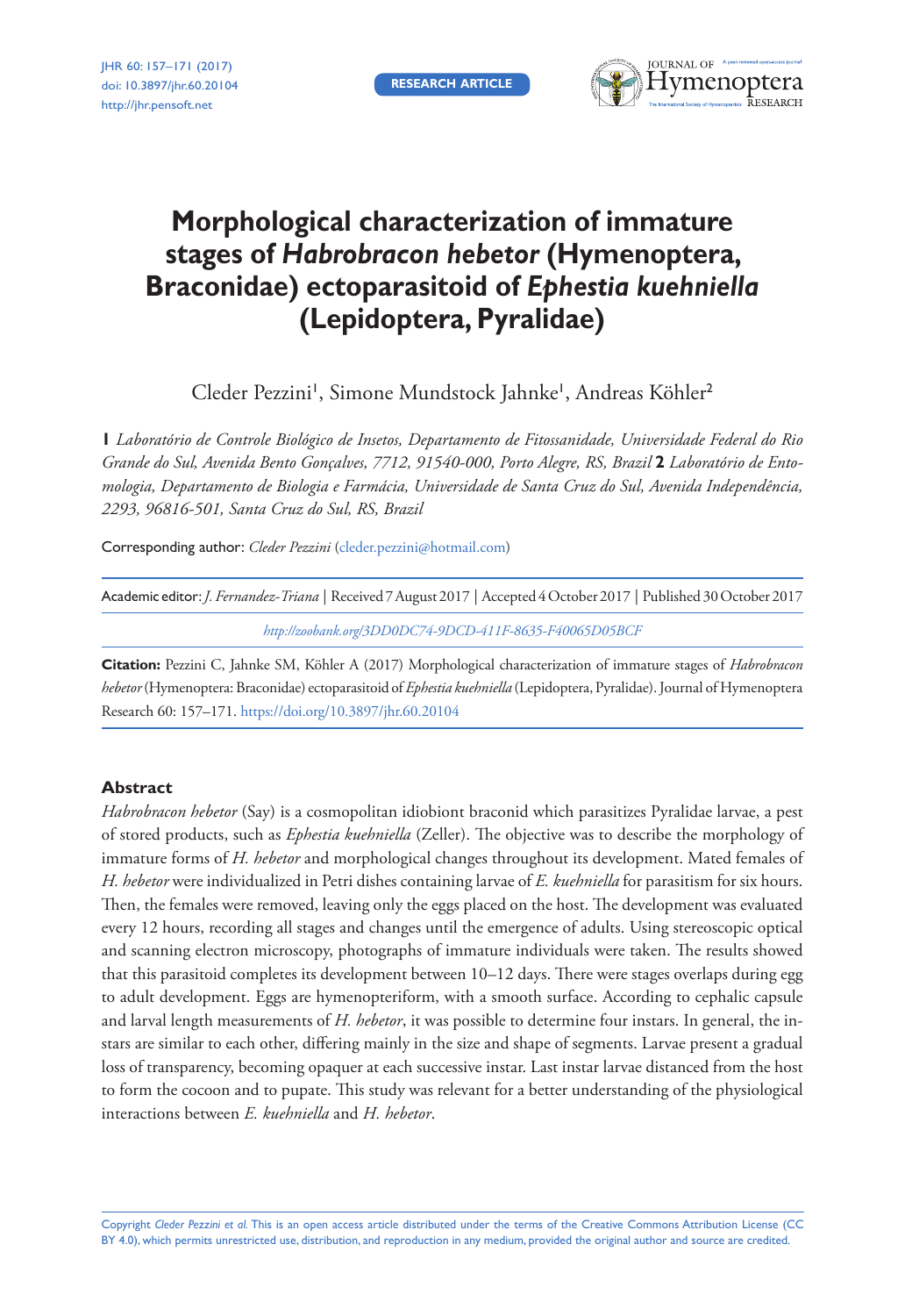**RESEARCH ARTICLE**



# **Morphological characterization of immature stages of** *Habrobracon hebetor* **(Hymenoptera, Braconidae) ectoparasitoid of** *Ephestia kuehniella* **(Lepidoptera, Pyralidae)**

Cleder Pezzini', Simone Mundstock Jahnke', Andreas Köhler<sup>2</sup>

**1** *Laboratório de Controle Biológico de Insetos, Departamento de Fitossanidade, Universidade Federal do Rio Grande do Sul, Avenida Bento Gonçalves, 7712, 91540-000, Porto Alegre, RS, Brazil* **2** *Laboratório de Entomologia, Departamento de Biologia e Farmácia, Universidade de Santa Cruz do Sul, Avenida Independência, 2293, 96816-501, Santa Cruz do Sul, RS, Brazil*

Corresponding author: *Cleder Pezzini* [\(cleder.pezzini@hotmail.com\)](mailto:cleder.pezzini@hotmail.com)

| Academic editor: <i>J. Fernandez-Triana</i>   Received 7 August 2017   Accepted 4 October 2017   Published 30 October 2017 |  |
|----------------------------------------------------------------------------------------------------------------------------|--|
| http://zoobank.org/3DD0DC74-9DCD-411F-8635-F40065D05BCF                                                                    |  |

**Citation:** Pezzini C, Jahnke SM, Köhler A (2017) Morphological characterization of immature stages of *Habrobracon hebetor* (Hymenoptera: Braconidae) ectoparasitoid of *Ephestia kuehniella* (Lepidoptera, Pyralidae). Journal of Hymenoptera Research 60: 157–171.<https://doi.org/10.3897/jhr.60.20104>

## **Abstract**

*Habrobracon hebetor* (Say) is a cosmopolitan idiobiont braconid which parasitizes Pyralidae larvae, a pest of stored products, such as *Ephestia kuehniella* (Zeller). The objective was to describe the morphology of immature forms of *H. hebetor* and morphological changes throughout its development. Mated females of *H. hebetor* were individualized in Petri dishes containing larvae of *E. kuehniella* for parasitism for six hours. Then, the females were removed, leaving only the eggs placed on the host. The development was evaluated every 12 hours, recording all stages and changes until the emergence of adults. Using stereoscopic optical and scanning electron microscopy, photographs of immature individuals were taken. The results showed that this parasitoid completes its development between 10–12 days. There were stages overlaps during egg to adult development. Eggs are hymenopteriform, with a smooth surface. According to cephalic capsule and larval length measurements of *H. hebetor*, it was possible to determine four instars. In general, the instars are similar to each other, differing mainly in the size and shape of segments. Larvae present a gradual loss of transparency, becoming opaquer at each successive instar. Last instar larvae distanced from the host to form the cocoon and to pupate. This study was relevant for a better understanding of the physiological interactions between *E. kuehniella* and *H. hebetor*.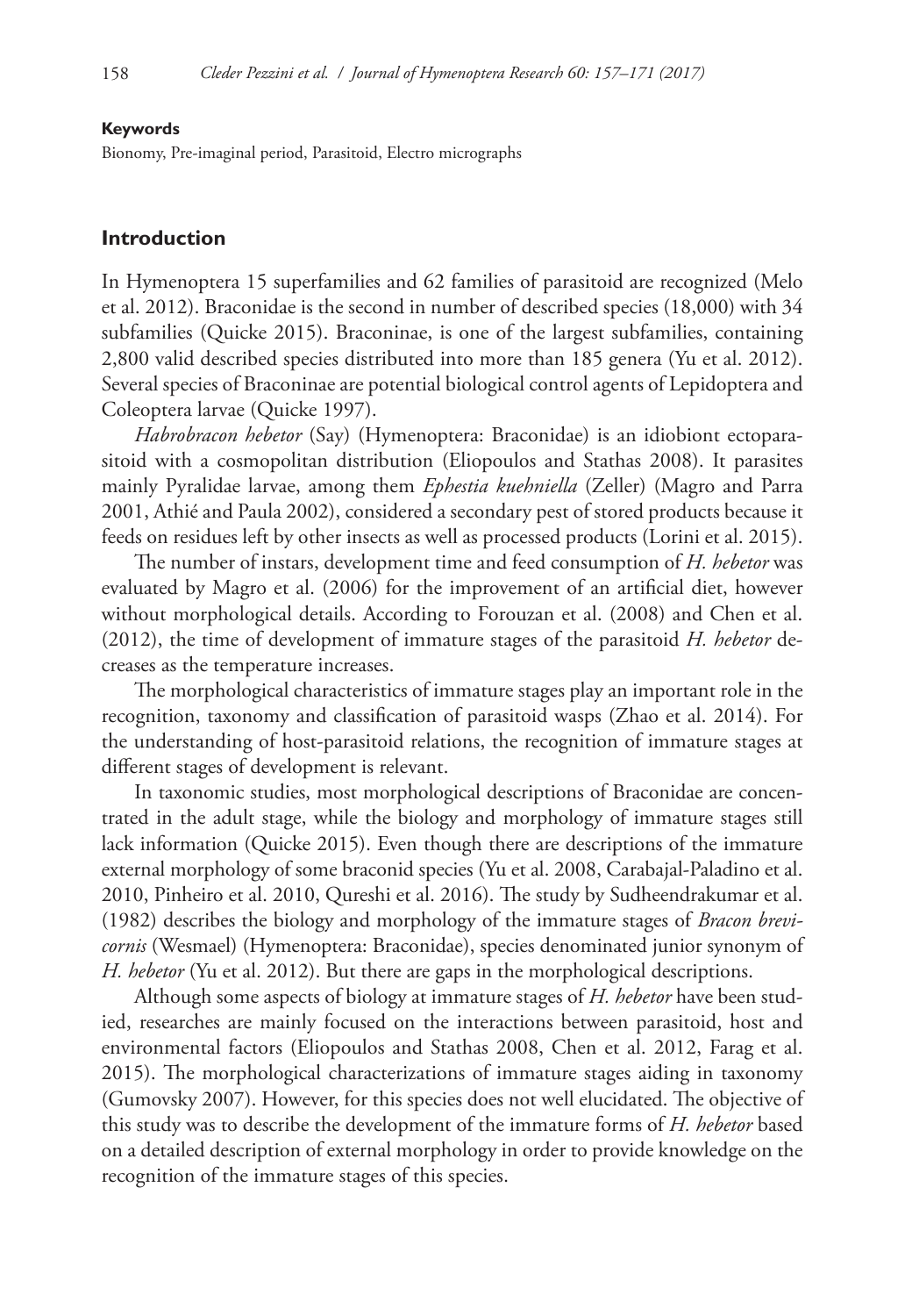#### **Keywords**

Bionomy, Pre-imaginal period, Parasitoid, Electro micrographs

# **Introduction**

In Hymenoptera 15 superfamilies and 62 families of parasitoid are recognized (Melo et al. 2012). Braconidae is the second in number of described species (18,000) with 34 subfamilies (Quicke 2015). Braconinae, is one of the largest subfamilies, containing 2,800 valid described species distributed into more than 185 genera (Yu et al. 2012). Several species of Braconinae are potential biological control agents of Lepidoptera and Coleoptera larvae (Quicke 1997).

*Habrobracon hebetor* (Say) (Hymenoptera: Braconidae) is an idiobiont ectoparasitoid with a cosmopolitan distribution (Eliopoulos and Stathas 2008). It parasites mainly Pyralidae larvae, among them *Ephestia kuehniella* (Zeller) (Magro and Parra 2001, Athié and Paula 2002), considered a secondary pest of stored products because it feeds on residues left by other insects as well as processed products (Lorini et al. 2015).

The number of instars, development time and feed consumption of *H. hebetor* was evaluated by Magro et al. (2006) for the improvement of an artificial diet, however without morphological details. According to Forouzan et al. (2008) and Chen et al. (2012), the time of development of immature stages of the parasitoid *H. hebetor* decreases as the temperature increases.

The morphological characteristics of immature stages play an important role in the recognition, taxonomy and classification of parasitoid wasps (Zhao et al. 2014). For the understanding of host-parasitoid relations, the recognition of immature stages at different stages of development is relevant.

In taxonomic studies, most morphological descriptions of Braconidae are concentrated in the adult stage, while the biology and morphology of immature stages still lack information (Quicke 2015). Even though there are descriptions of the immature external morphology of some braconid species (Yu et al. 2008, Carabajal-Paladino et al. 2010, Pinheiro et al. 2010, Qureshi et al. 2016). The study by Sudheendrakumar et al. (1982) describes the biology and morphology of the immature stages of *Bracon brevicornis* (Wesmael) (Hymenoptera: Braconidae), species denominated junior synonym of *H. hebetor* (Yu et al. 2012). But there are gaps in the morphological descriptions.

Although some aspects of biology at immature stages of *H. hebetor* have been studied, researches are mainly focused on the interactions between parasitoid, host and environmental factors (Eliopoulos and Stathas 2008, Chen et al. 2012, Farag et al. 2015). The morphological characterizations of immature stages aiding in taxonomy (Gumovsky 2007). However, for this species does not well elucidated. The objective of this study was to describe the development of the immature forms of *H. hebetor* based on a detailed description of external morphology in order to provide knowledge on the recognition of the immature stages of this species.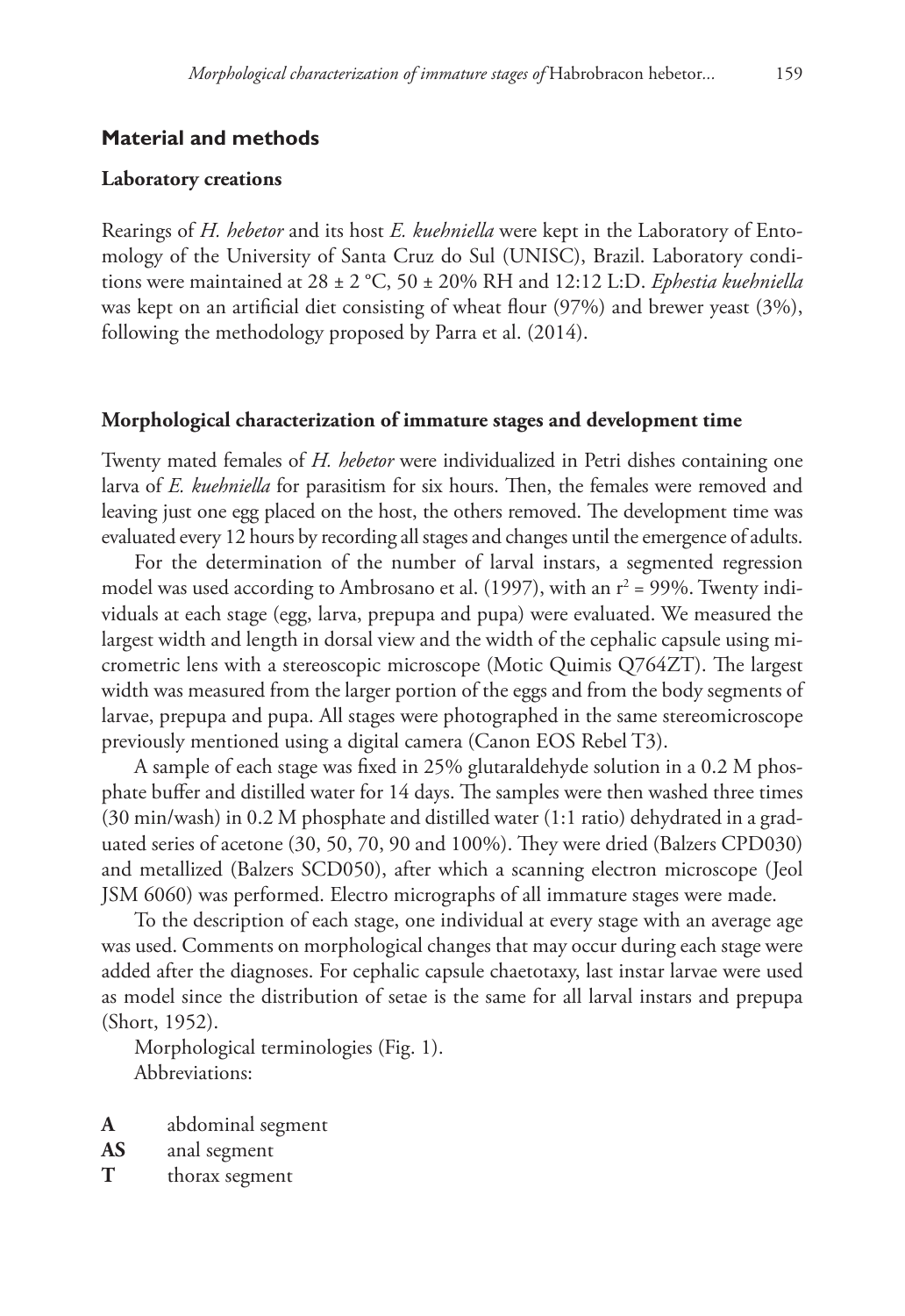#### **Laboratory creations**

Rearings of *H. hebetor* and its host *E. kuehniella* were kept in the Laboratory of Entomology of the University of Santa Cruz do Sul (UNISC), Brazil. Laboratory conditions were maintained at 28 ± 2 °C, 50 ± 20% RH and 12:12 L:D. *Ephestia kuehniella* was kept on an artificial diet consisting of wheat flour (97%) and brewer yeast (3%), following the methodology proposed by Parra et al. (2014).

#### **Morphological characterization of immature stages and development time**

Twenty mated females of *H. hebetor* were individualized in Petri dishes containing one larva of *E. kuehniella* for parasitism for six hours. Then, the females were removed and leaving just one egg placed on the host, the others removed. The development time was evaluated every 12 hours by recording all stages and changes until the emergence of adults.

For the determination of the number of larval instars, a segmented regression model was used according to Ambrosano et al. (1997), with an  $r^2$  = 99%. Twenty individuals at each stage (egg, larva, prepupa and pupa) were evaluated. We measured the largest width and length in dorsal view and the width of the cephalic capsule using micrometric lens with a stereoscopic microscope (Motic Quimis Q764ZT). The largest width was measured from the larger portion of the eggs and from the body segments of larvae, prepupa and pupa. All stages were photographed in the same stereomicroscope previously mentioned using a digital camera (Canon EOS Rebel T3).

A sample of each stage was fixed in 25% glutaraldehyde solution in a 0.2 M phosphate buffer and distilled water for 14 days. The samples were then washed three times (30 min/wash) in 0.2 M phosphate and distilled water (1:1 ratio) dehydrated in a graduated series of acetone (30, 50, 70, 90 and 100%). They were dried (Balzers CPD030) and metallized (Balzers SCD050), after which a scanning electron microscope (Jeol JSM 6060) was performed. Electro micrographs of all immature stages were made.

To the description of each stage, one individual at every stage with an average age was used. Comments on morphological changes that may occur during each stage were added after the diagnoses. For cephalic capsule chaetotaxy, last instar larvae were used as model since the distribution of setae is the same for all larval instars and prepupa (Short, 1952).

Morphological terminologies (Fig. 1). Abbreviations:

- **A** abdominal segment
- **AS** anal segment
- **T** thorax segment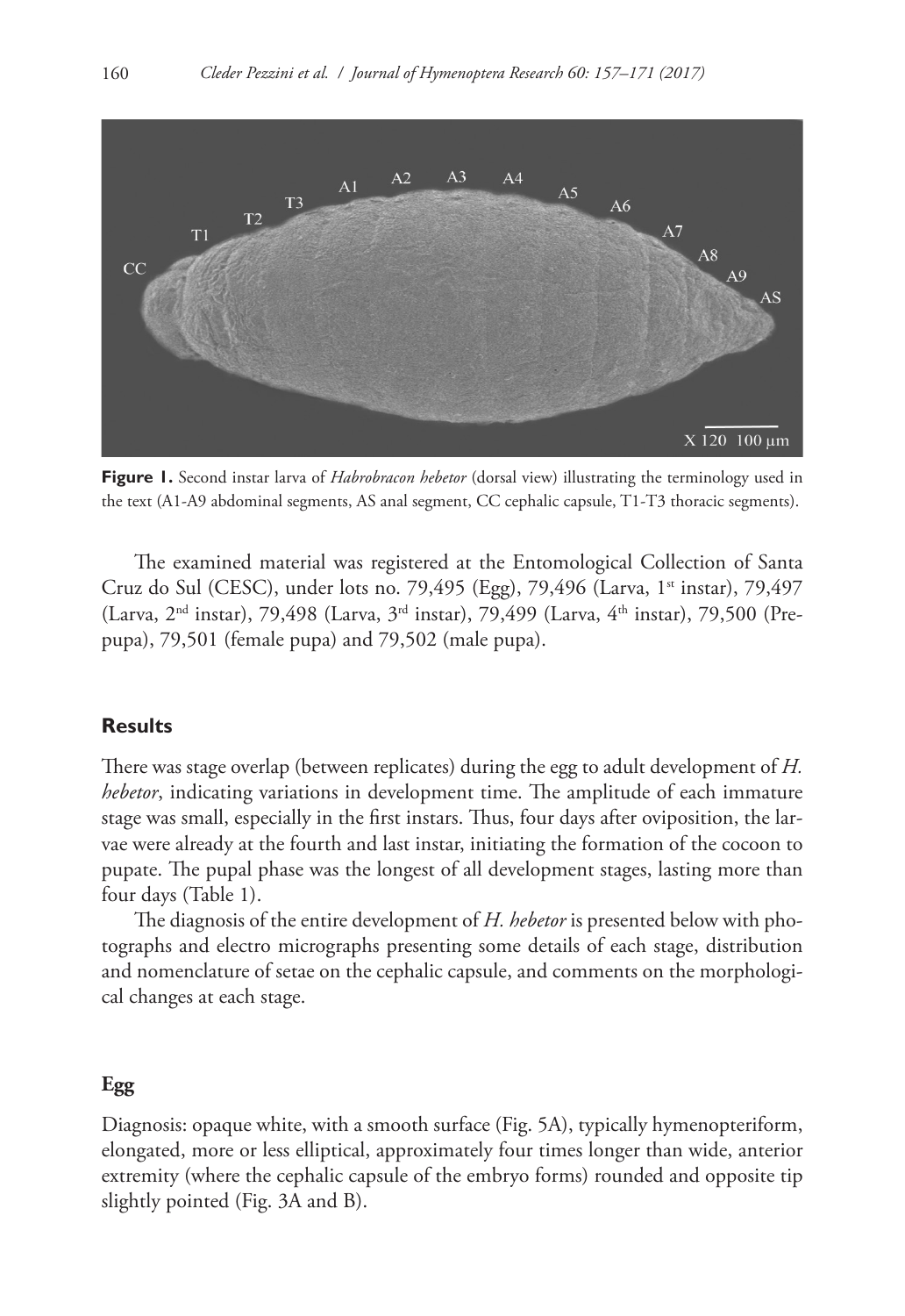

**Figure 1.** Second instar larva of *Habrobracon hebetor* (dorsal view) illustrating the terminology used in the text (A1-A9 abdominal segments, AS anal segment, CC cephalic capsule, T1-T3 thoracic segments).

The examined material was registered at the Entomological Collection of Santa Cruz do Sul (CESC), under lots no. 79,495 (Egg), 79,496 (Larva, 1<sup>st</sup> instar), 79,497 (Larva,  $2^{nd}$  instar), 79,498 (Larva,  $3^{rd}$  instar), 79,499 (Larva,  $4^{th}$  instar), 79,500 (Prepupa), 79,501 (female pupa) and 79,502 (male pupa).

## **Results**

There was stage overlap (between replicates) during the egg to adult development of *H. hebetor*, indicating variations in development time. The amplitude of each immature stage was small, especially in the first instars. Thus, four days after oviposition, the larvae were already at the fourth and last instar, initiating the formation of the cocoon to pupate. The pupal phase was the longest of all development stages, lasting more than four days (Table 1).

The diagnosis of the entire development of *H. hebetor* is presented below with photographs and electro micrographs presenting some details of each stage, distribution and nomenclature of setae on the cephalic capsule, and comments on the morphological changes at each stage.

## **Egg**

Diagnosis: opaque white, with a smooth surface (Fig. 5A), typically hymenopteriform, elongated, more or less elliptical, approximately four times longer than wide, anterior extremity (where the cephalic capsule of the embryo forms) rounded and opposite tip slightly pointed (Fig. 3A and B).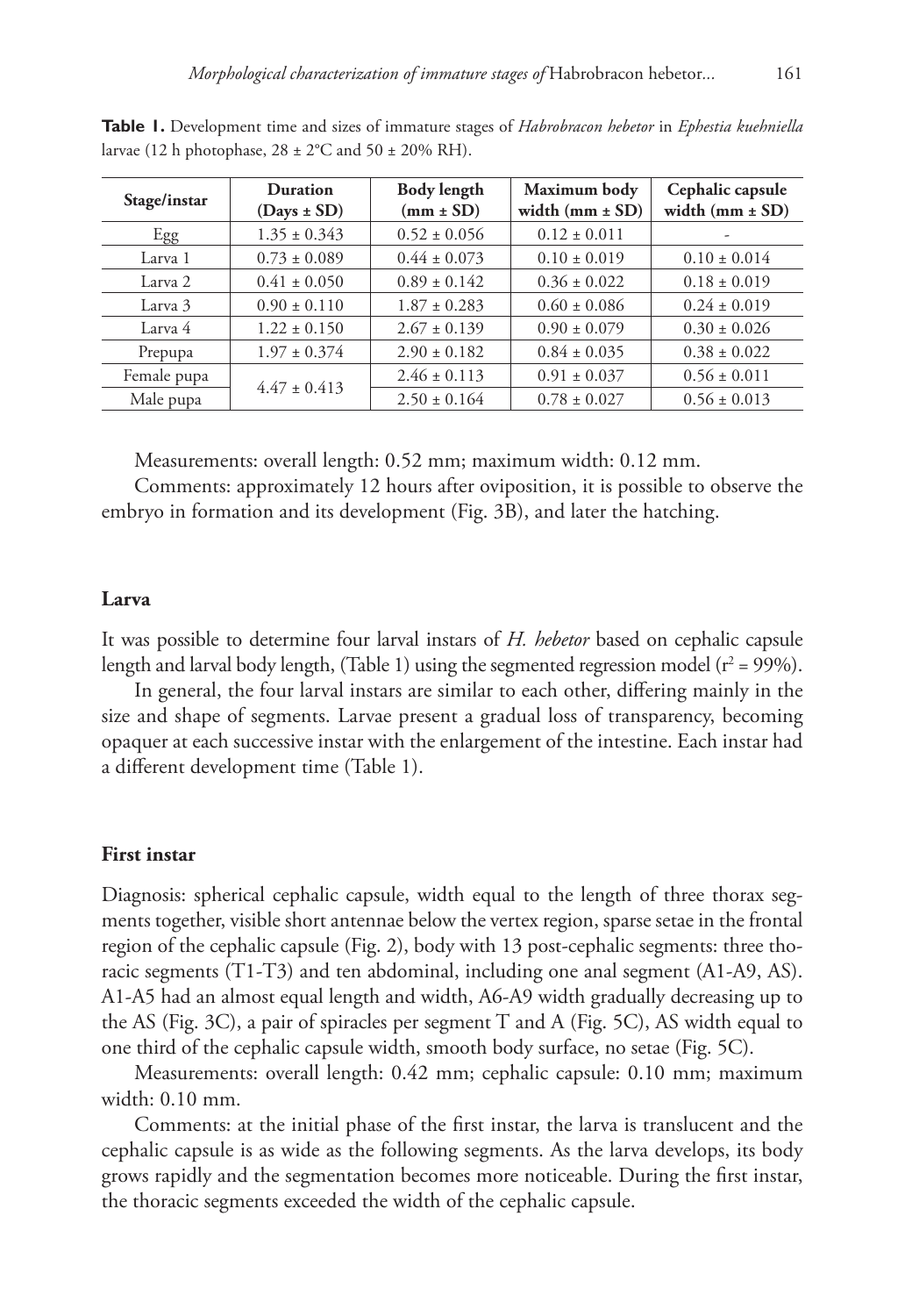| Stage/instar | <b>Duration</b><br>$(Days \pm SD)$ | <b>Body length</b><br>$(mm \pm SD)$ | Maximum body<br>width $(mm \pm SD)$ | Cephalic capsule<br>width $(mm \pm SD)$ |
|--------------|------------------------------------|-------------------------------------|-------------------------------------|-----------------------------------------|
| Egg          | $1.35 \pm 0.343$                   | $0.52 \pm 0.056$                    | $0.12 \pm 0.011$                    |                                         |
| Larva 1      | $0.73 \pm 0.089$                   | $0.44 \pm 0.073$                    | $0.10 \pm 0.019$                    | $0.10 \pm 0.014$                        |
| Larva 2      | $0.41 \pm 0.050$                   | $0.89 \pm 0.142$                    | $0.36 \pm 0.022$                    | $0.18 \pm 0.019$                        |
| Larva 3      | $0.90 \pm 0.110$                   | $1.87 \pm 0.283$                    | $0.60 \pm 0.086$                    | $0.24 \pm 0.019$                        |
| Larva 4      | $1.22 \pm 0.150$                   | $2.67 \pm 0.139$                    | $0.90 \pm 0.079$                    | $0.30 \pm 0.026$                        |
| Prepupa      | $1.97 \pm 0.374$                   | $2.90 \pm 0.182$                    | $0.84 \pm 0.035$                    | $0.38 \pm 0.022$                        |
| Female pupa  | $4.47 \pm 0.413$                   | $2.46 \pm 0.113$                    | $0.91 \pm 0.037$                    | $0.56 \pm 0.011$                        |
| Male pupa    |                                    | $2.50 \pm 0.164$                    | $0.78 \pm 0.027$                    | $0.56 \pm 0.013$                        |

**Table 1.** Development time and sizes of immature stages of *Habrobracon hebetor* in *Ephestia kuehniella* larvae (12 h photophase,  $28 \pm 2^{\circ}$ C and  $50 \pm 20\%$  RH).

Measurements: overall length: 0.52 mm; maximum width: 0.12 mm.

Comments: approximately 12 hours after oviposition, it is possible to observe the embryo in formation and its development (Fig. 3B), and later the hatching.

## **Larva**

It was possible to determine four larval instars of *H. hebetor* based on cephalic capsule length and larval body length, (Table 1) using the segmented regression model (r $\hat{r}$  = 99%).

In general, the four larval instars are similar to each other, differing mainly in the size and shape of segments. Larvae present a gradual loss of transparency, becoming opaquer at each successive instar with the enlargement of the intestine. Each instar had a different development time (Table 1).

## **First instar**

Diagnosis: spherical cephalic capsule, width equal to the length of three thorax segments together, visible short antennae below the vertex region, sparse setae in the frontal region of the cephalic capsule (Fig. 2), body with 13 post-cephalic segments: three thoracic segments (T1-T3) and ten abdominal, including one anal segment (A1-A9, AS). A1-A5 had an almost equal length and width, A6-A9 width gradually decreasing up to the AS (Fig. 3C), a pair of spiracles per segment T and A (Fig. 5C), AS width equal to one third of the cephalic capsule width, smooth body surface, no setae (Fig. 5C).

Measurements: overall length: 0.42 mm; cephalic capsule: 0.10 mm; maximum width: 0.10 mm.

Comments: at the initial phase of the first instar, the larva is translucent and the cephalic capsule is as wide as the following segments. As the larva develops, its body grows rapidly and the segmentation becomes more noticeable. During the first instar, the thoracic segments exceeded the width of the cephalic capsule.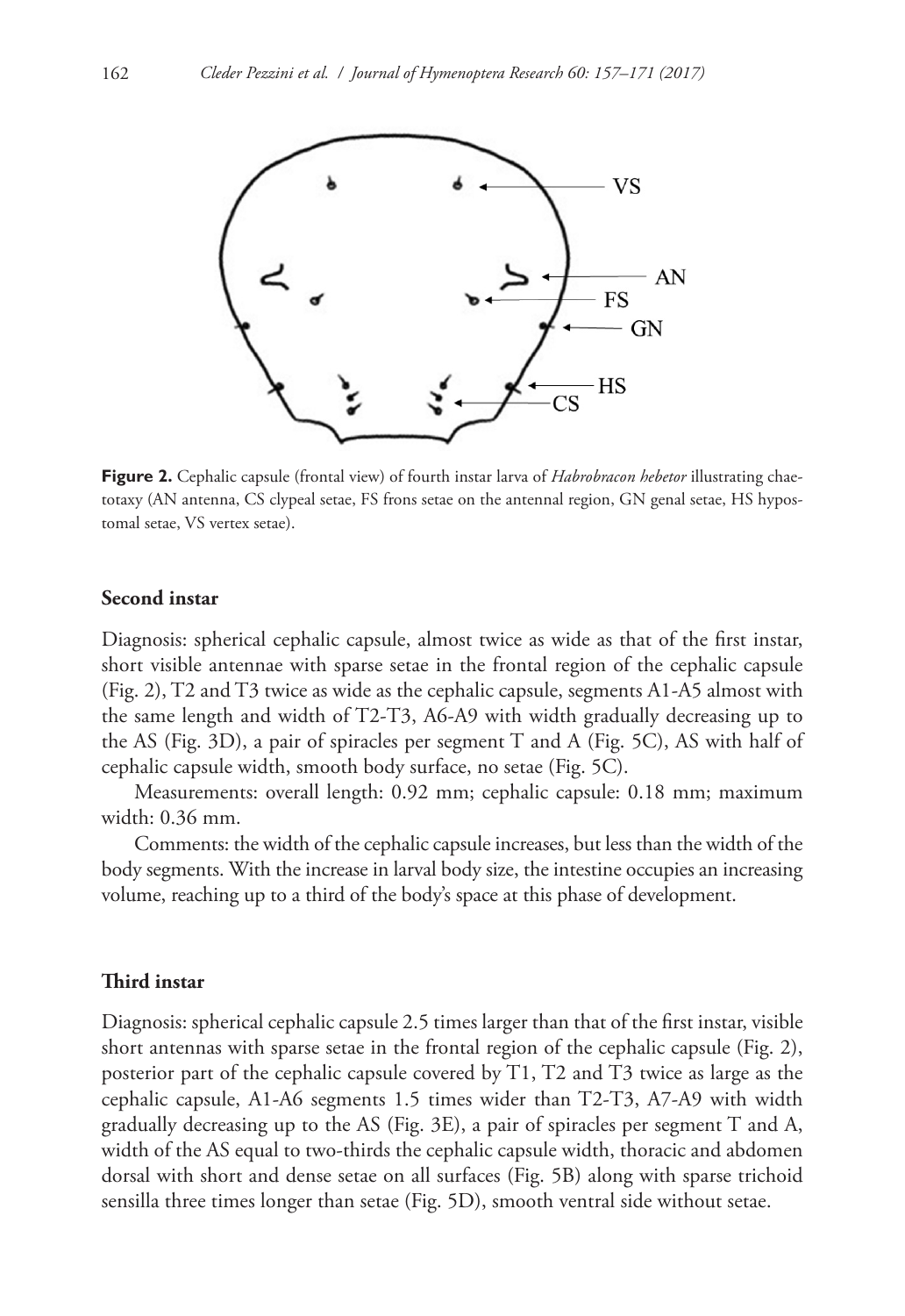

**Figure 2.** Cephalic capsule (frontal view) of fourth instar larva of *Habrobracon hebetor* illustrating chaetotaxy (AN antenna, CS clypeal setae, FS frons setae on the antennal region, GN genal setae, HS hypostomal setae, VS vertex setae).

### **Second instar**

Diagnosis: spherical cephalic capsule, almost twice as wide as that of the first instar, short visible antennae with sparse setae in the frontal region of the cephalic capsule (Fig. 2), T2 and T3 twice as wide as the cephalic capsule, segments A1-A5 almost with the same length and width of T2-T3, A6-A9 with width gradually decreasing up to the AS (Fig. 3D), a pair of spiracles per segment T and A (Fig. 5C), AS with half of cephalic capsule width, smooth body surface, no setae (Fig. 5C).

Measurements: overall length: 0.92 mm; cephalic capsule: 0.18 mm; maximum width: 0.36 mm.

Comments: the width of the cephalic capsule increases, but less than the width of the body segments. With the increase in larval body size, the intestine occupies an increasing volume, reaching up to a third of the body's space at this phase of development.

# **Third instar**

Diagnosis: spherical cephalic capsule 2.5 times larger than that of the first instar, visible short antennas with sparse setae in the frontal region of the cephalic capsule (Fig. 2), posterior part of the cephalic capsule covered by T1, T2 and T3 twice as large as the cephalic capsule, A1-A6 segments 1.5 times wider than T2-T3, A7-A9 with width gradually decreasing up to the AS (Fig. 3E), a pair of spiracles per segment T and A, width of the AS equal to two-thirds the cephalic capsule width, thoracic and abdomen dorsal with short and dense setae on all surfaces (Fig. 5B) along with sparse trichoid sensilla three times longer than setae (Fig. 5D), smooth ventral side without setae.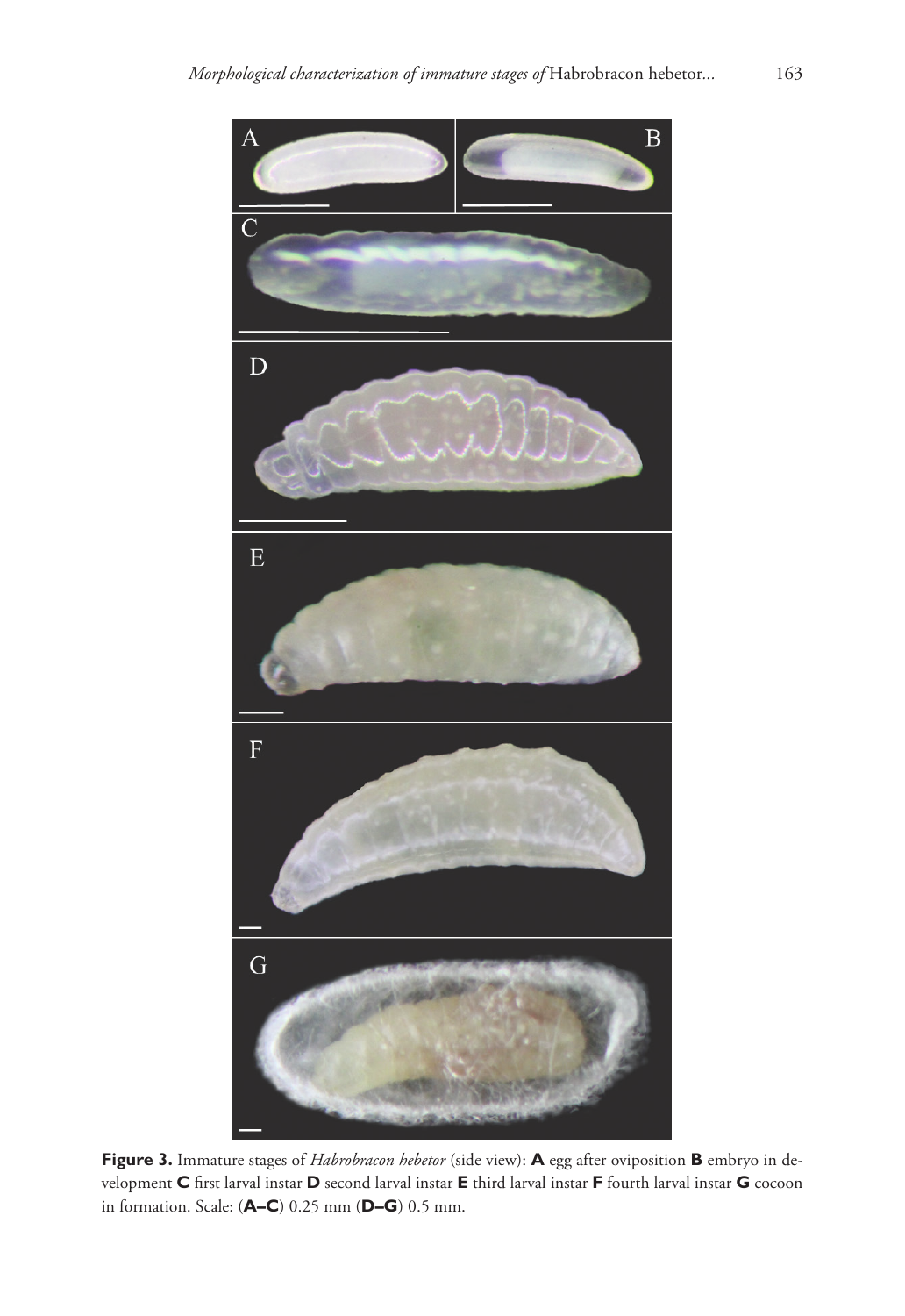

**Figure 3.** Immature stages of *Habrobracon hebetor* (side view): **A** egg after oviposition **B** embryo in development **C** first larval instar **D** second larval instar **E** third larval instar **F** fourth larval instar **G** cocoon in formation. Scale: (**A–C**) 0.25 mm (**D–G**) 0.5 mm.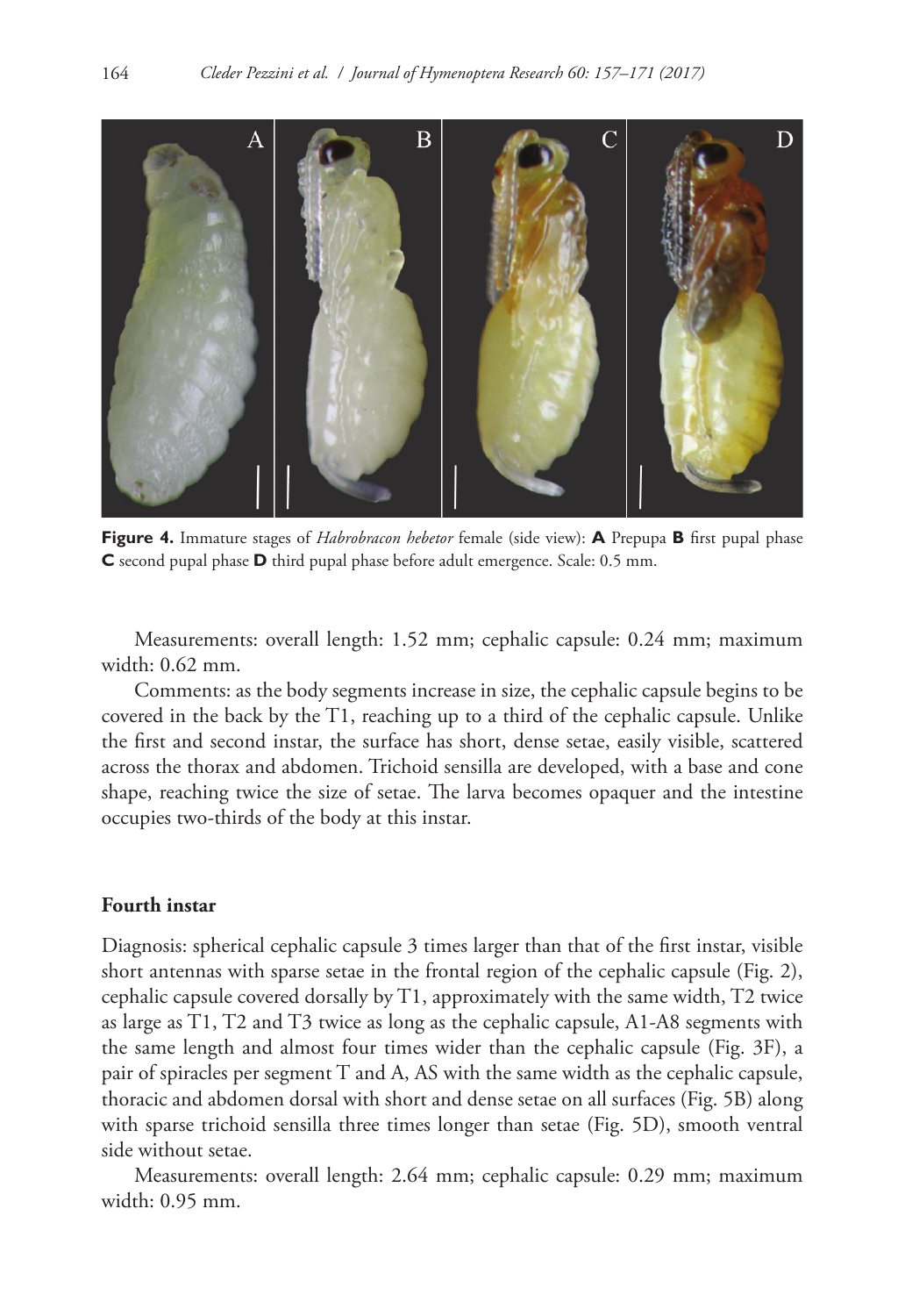

**Figure 4.** Immature stages of *Habrobracon hebetor* female (side view): **A** Prepupa **B** first pupal phase **C** second pupal phase **D** third pupal phase before adult emergence. Scale: 0.5 mm.

Measurements: overall length: 1.52 mm; cephalic capsule: 0.24 mm; maximum width: 0.62 mm.

Comments: as the body segments increase in size, the cephalic capsule begins to be covered in the back by the T1, reaching up to a third of the cephalic capsule. Unlike the first and second instar, the surface has short, dense setae, easily visible, scattered across the thorax and abdomen. Trichoid sensilla are developed, with a base and cone shape, reaching twice the size of setae. The larva becomes opaquer and the intestine occupies two-thirds of the body at this instar.

## **Fourth instar**

Diagnosis: spherical cephalic capsule 3 times larger than that of the first instar, visible short antennas with sparse setae in the frontal region of the cephalic capsule (Fig. 2), cephalic capsule covered dorsally by T1, approximately with the same width, T2 twice as large as T1, T2 and T3 twice as long as the cephalic capsule, A1-A8 segments with the same length and almost four times wider than the cephalic capsule (Fig. 3F), a pair of spiracles per segment T and A, AS with the same width as the cephalic capsule, thoracic and abdomen dorsal with short and dense setae on all surfaces (Fig. 5B) along with sparse trichoid sensilla three times longer than setae (Fig. 5D), smooth ventral side without setae.

Measurements: overall length: 2.64 mm; cephalic capsule: 0.29 mm; maximum width: 0.95 mm.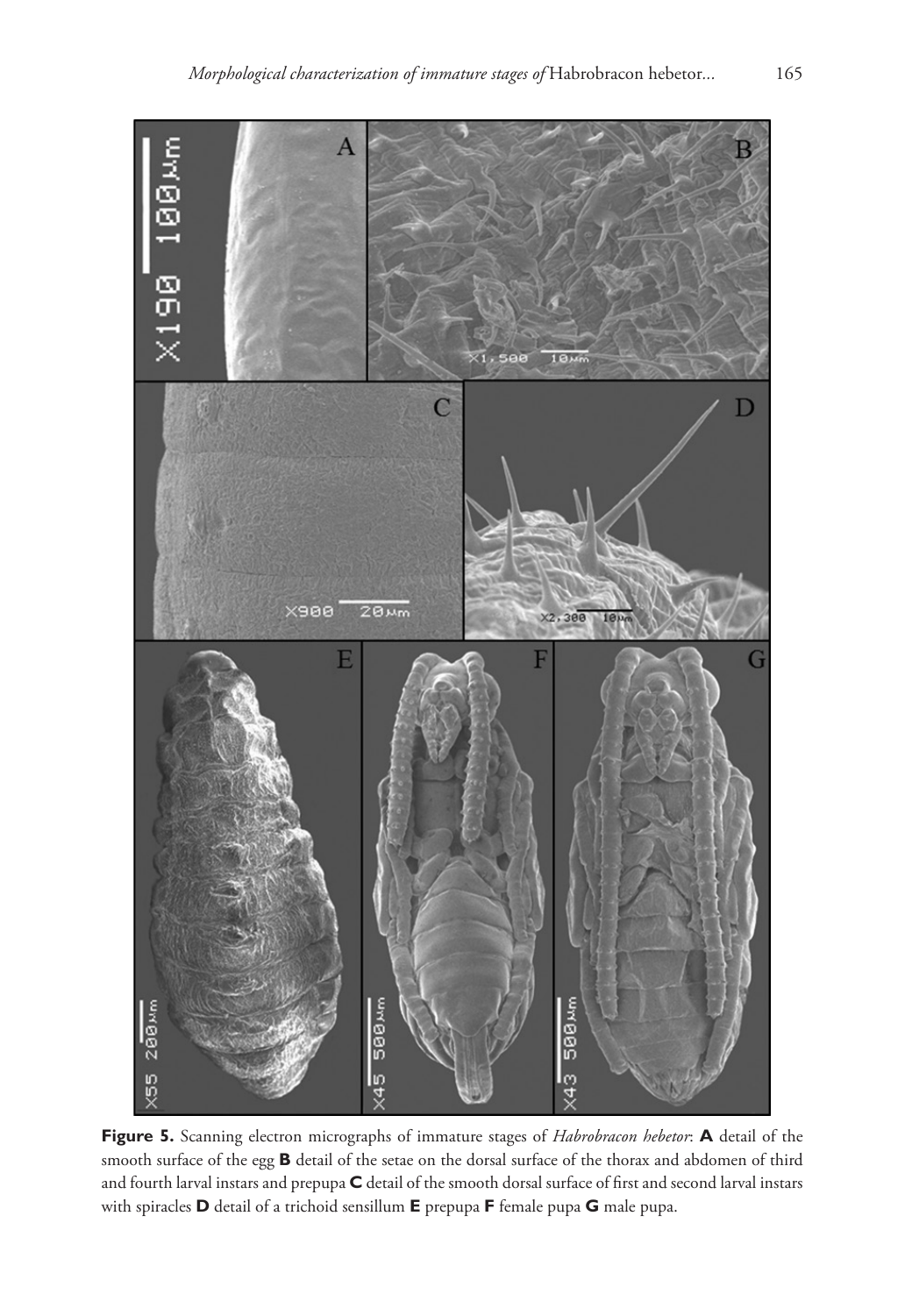

**Figure 5.** Scanning electron micrographs of immature stages of *Habrobracon hebetor*: **A** detail of the smooth surface of the egg **B** detail of the setae on the dorsal surface of the thorax and abdomen of third and fourth larval instars and prepupa **C** detail of the smooth dorsal surface of first and second larval instars with spiracles **D** detail of a trichoid sensillum **E** prepupa **F** female pupa **G** male pupa.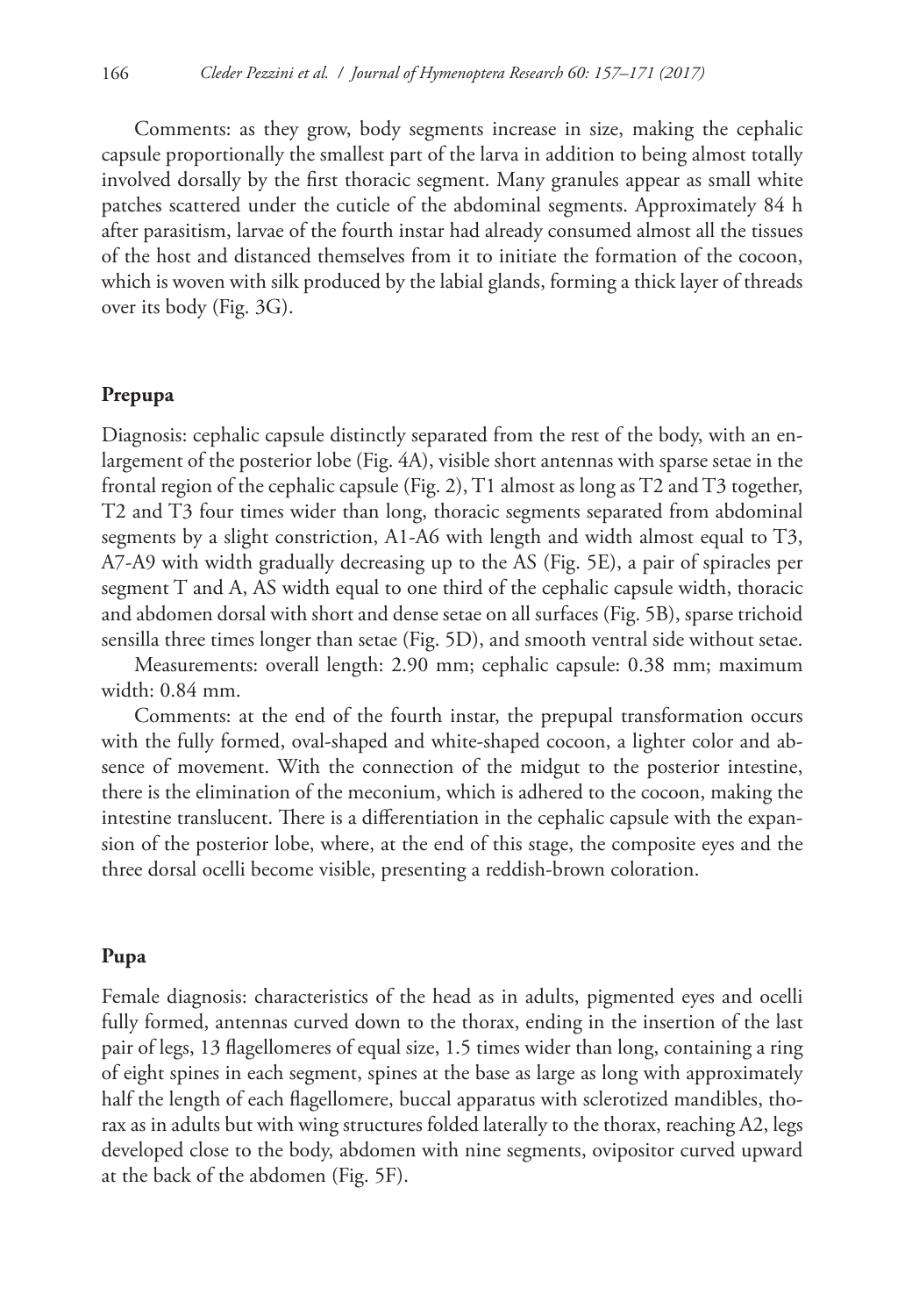Comments: as they grow, body segments increase in size, making the cephalic capsule proportionally the smallest part of the larva in addition to being almost totally involved dorsally by the first thoracic segment. Many granules appear as small white patches scattered under the cuticle of the abdominal segments. Approximately 84 h after parasitism, larvae of the fourth instar had already consumed almost all the tissues of the host and distanced themselves from it to initiate the formation of the cocoon, which is woven with silk produced by the labial glands, forming a thick layer of threads over its body (Fig. 3G).

# **Prepupa**

Diagnosis: cephalic capsule distinctly separated from the rest of the body, with an enlargement of the posterior lobe (Fig. 4A), visible short antennas with sparse setae in the frontal region of the cephalic capsule (Fig. 2), T1 almost as long as T2 and T3 together, T2 and T3 four times wider than long, thoracic segments separated from abdominal segments by a slight constriction, A1-A6 with length and width almost equal to T3, A7-A9 with width gradually decreasing up to the AS (Fig. 5E), a pair of spiracles per segment T and A, AS width equal to one third of the cephalic capsule width, thoracic and abdomen dorsal with short and dense setae on all surfaces (Fig. 5B), sparse trichoid sensilla three times longer than setae (Fig. 5D), and smooth ventral side without setae.

Measurements: overall length: 2.90 mm; cephalic capsule: 0.38 mm; maximum width: 0.84 mm.

Comments: at the end of the fourth instar, the prepupal transformation occurs with the fully formed, oval-shaped and white-shaped cocoon, a lighter color and absence of movement. With the connection of the midgut to the posterior intestine, there is the elimination of the meconium, which is adhered to the cocoon, making the intestine translucent. There is a differentiation in the cephalic capsule with the expansion of the posterior lobe, where, at the end of this stage, the composite eyes and the three dorsal ocelli become visible, presenting a reddish-brown coloration.

#### **Pupa**

Female diagnosis: characteristics of the head as in adults, pigmented eyes and ocelli fully formed, antennas curved down to the thorax, ending in the insertion of the last pair of legs, 13 flagellomeres of equal size, 1.5 times wider than long, containing a ring of eight spines in each segment, spines at the base as large as long with approximately half the length of each flagellomere, buccal apparatus with sclerotized mandibles, thorax as in adults but with wing structures folded laterally to the thorax, reaching A2, legs developed close to the body, abdomen with nine segments, ovipositor curved upward at the back of the abdomen (Fig. 5F).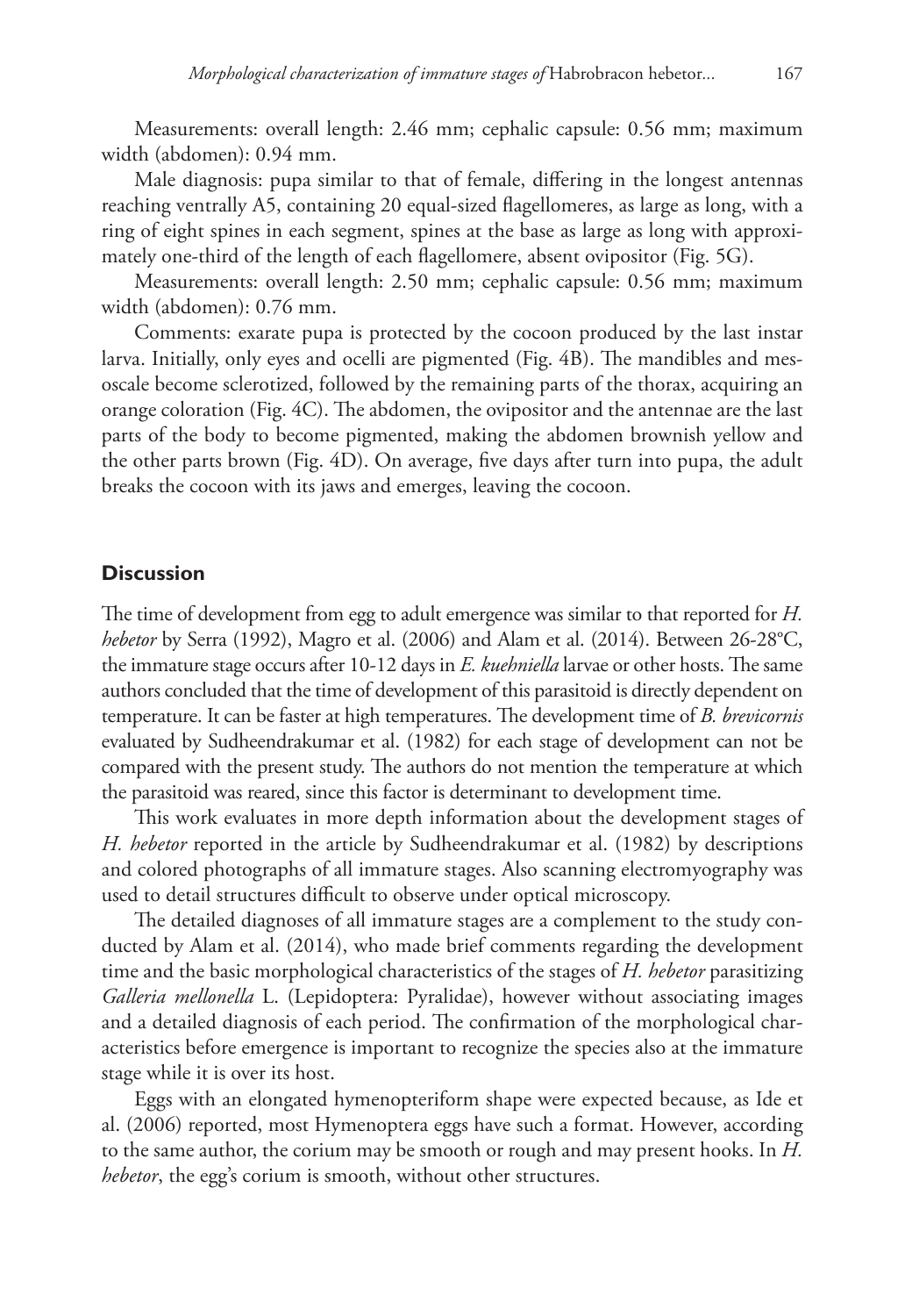Measurements: overall length: 2.46 mm; cephalic capsule: 0.56 mm; maximum width (abdomen): 0.94 mm.

Male diagnosis: pupa similar to that of female, differing in the longest antennas reaching ventrally A5, containing 20 equal-sized flagellomeres, as large as long, with a ring of eight spines in each segment, spines at the base as large as long with approximately one-third of the length of each flagellomere, absent ovipositor (Fig. 5G).

Measurements: overall length: 2.50 mm; cephalic capsule: 0.56 mm; maximum width (abdomen): 0.76 mm.

Comments: exarate pupa is protected by the cocoon produced by the last instar larva. Initially, only eyes and ocelli are pigmented (Fig. 4B). The mandibles and mesoscale become sclerotized, followed by the remaining parts of the thorax, acquiring an orange coloration (Fig. 4C). The abdomen, the ovipositor and the antennae are the last parts of the body to become pigmented, making the abdomen brownish yellow and the other parts brown (Fig. 4D). On average, five days after turn into pupa, the adult breaks the cocoon with its jaws and emerges, leaving the cocoon.

# **Discussion**

The time of development from egg to adult emergence was similar to that reported for *H. hebetor* by Serra (1992), Magro et al. (2006) and Alam et al. (2014). Between 26-28°C, the immature stage occurs after 10-12 days in *E. kuehniella* larvae or other hosts. The same authors concluded that the time of development of this parasitoid is directly dependent on temperature. It can be faster at high temperatures. The development time of *B. brevicornis* evaluated by Sudheendrakumar et al. (1982) for each stage of development can not be compared with the present study. The authors do not mention the temperature at which the parasitoid was reared, since this factor is determinant to development time.

This work evaluates in more depth information about the development stages of *H. hebetor* reported in the article by Sudheendrakumar et al. (1982) by descriptions and colored photographs of all immature stages. Also scanning electromyography was used to detail structures difficult to observe under optical microscopy.

The detailed diagnoses of all immature stages are a complement to the study conducted by Alam et al. (2014), who made brief comments regarding the development time and the basic morphological characteristics of the stages of *H. hebetor* parasitizing *Galleria mellonella* L. (Lepidoptera: Pyralidae), however without associating images and a detailed diagnosis of each period. The confirmation of the morphological characteristics before emergence is important to recognize the species also at the immature stage while it is over its host.

Eggs with an elongated hymenopteriform shape were expected because, as Ide et al. (2006) reported, most Hymenoptera eggs have such a format. However, according to the same author, the corium may be smooth or rough and may present hooks. In *H. hebetor*, the egg's corium is smooth, without other structures.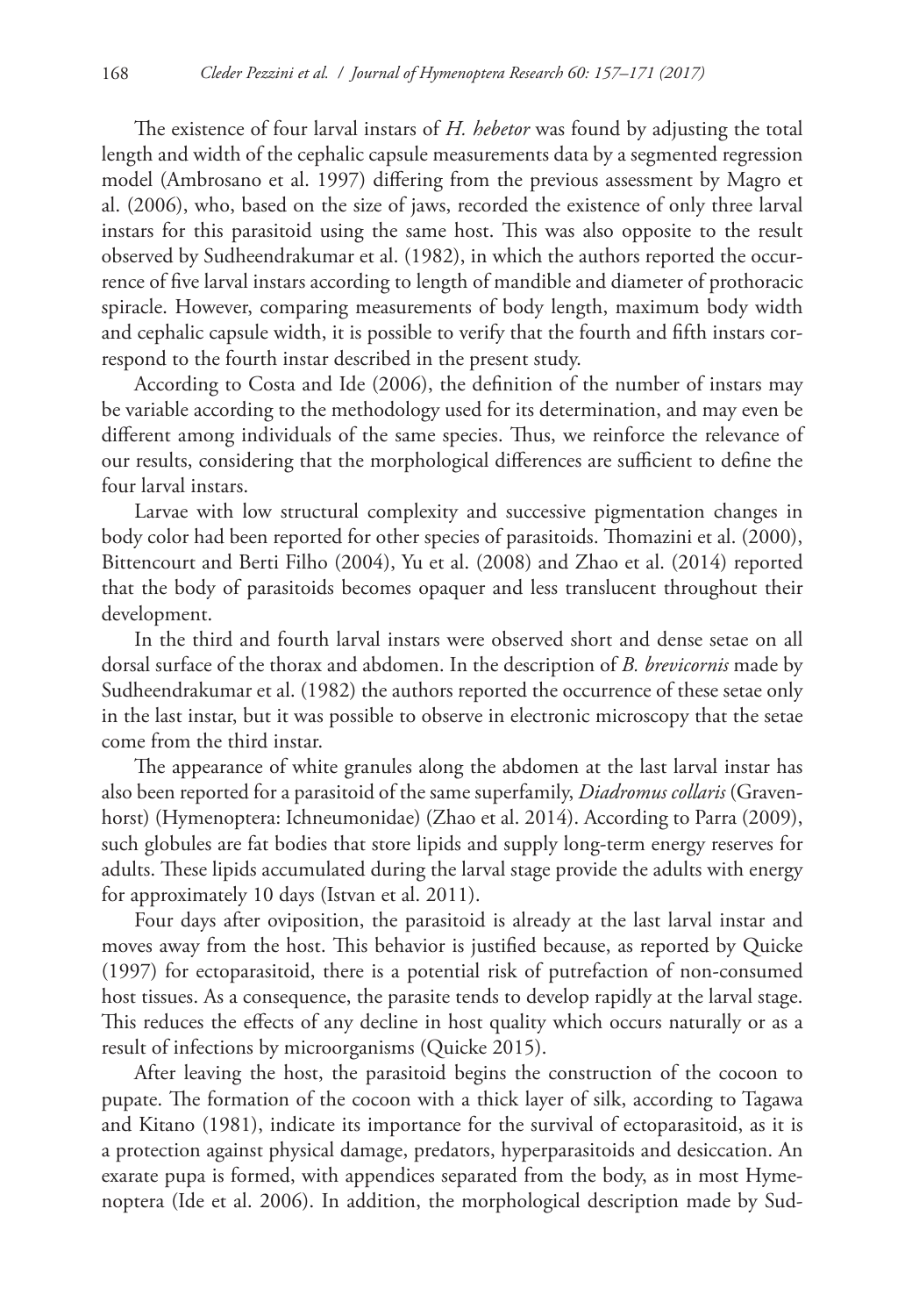The existence of four larval instars of *H. hebetor* was found by adjusting the total length and width of the cephalic capsule measurements data by a segmented regression model (Ambrosano et al. 1997) differing from the previous assessment by Magro et al. (2006), who, based on the size of jaws, recorded the existence of only three larval instars for this parasitoid using the same host. This was also opposite to the result observed by Sudheendrakumar et al. (1982), in which the authors reported the occurrence of five larval instars according to length of mandible and diameter of prothoracic spiracle. However, comparing measurements of body length, maximum body width and cephalic capsule width, it is possible to verify that the fourth and fifth instars correspond to the fourth instar described in the present study.

According to Costa and Ide (2006), the definition of the number of instars may be variable according to the methodology used for its determination, and may even be different among individuals of the same species. Thus, we reinforce the relevance of our results, considering that the morphological differences are sufficient to define the four larval instars.

Larvae with low structural complexity and successive pigmentation changes in body color had been reported for other species of parasitoids. Thomazini et al. (2000), Bittencourt and Berti Filho (2004), Yu et al. (2008) and Zhao et al. (2014) reported that the body of parasitoids becomes opaquer and less translucent throughout their development.

In the third and fourth larval instars were observed short and dense setae on all dorsal surface of the thorax and abdomen. In the description of *B. brevicornis* made by Sudheendrakumar et al. (1982) the authors reported the occurrence of these setae only in the last instar, but it was possible to observe in electronic microscopy that the setae come from the third instar.

The appearance of white granules along the abdomen at the last larval instar has also been reported for a parasitoid of the same superfamily, *Diadromus collaris* (Gravenhorst) (Hymenoptera: Ichneumonidae) (Zhao et al. 2014). According to Parra (2009), such globules are fat bodies that store lipids and supply long-term energy reserves for adults. These lipids accumulated during the larval stage provide the adults with energy for approximately 10 days (Istvan et al. 2011).

Four days after oviposition, the parasitoid is already at the last larval instar and moves away from the host. This behavior is justified because, as reported by Quicke (1997) for ectoparasitoid, there is a potential risk of putrefaction of non-consumed host tissues. As a consequence, the parasite tends to develop rapidly at the larval stage. This reduces the effects of any decline in host quality which occurs naturally or as a result of infections by microorganisms (Quicke 2015).

After leaving the host, the parasitoid begins the construction of the cocoon to pupate. The formation of the cocoon with a thick layer of silk, according to Tagawa and Kitano (1981), indicate its importance for the survival of ectoparasitoid, as it is a protection against physical damage, predators, hyperparasitoids and desiccation. An exarate pupa is formed, with appendices separated from the body, as in most Hymenoptera (Ide et al. 2006). In addition, the morphological description made by Sud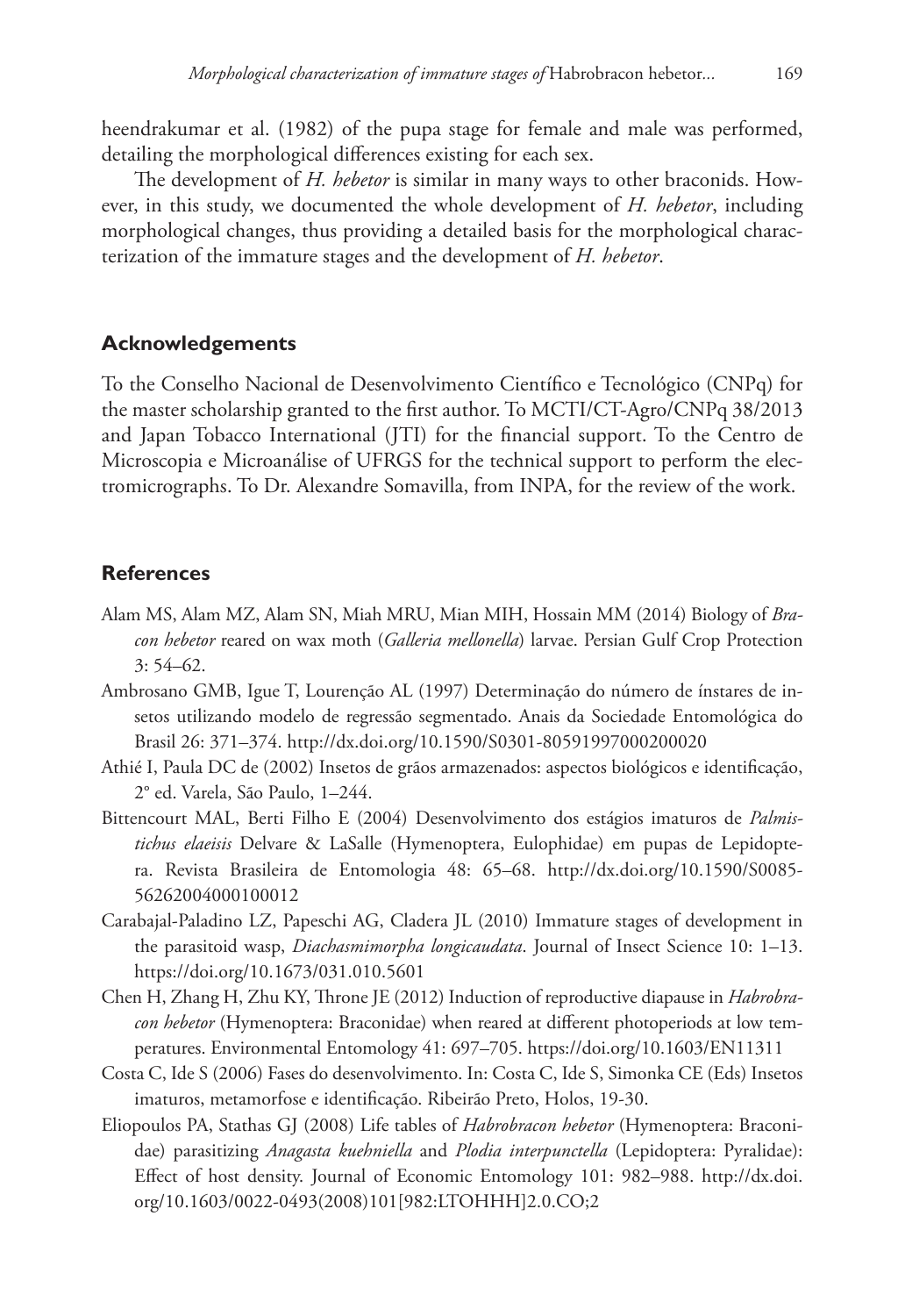heendrakumar et al. (1982) of the pupa stage for female and male was performed, detailing the morphological differences existing for each sex.

The development of *H. hebetor* is similar in many ways to other braconids. However, in this study, we documented the whole development of *H. hebetor*, including morphological changes, thus providing a detailed basis for the morphological characterization of the immature stages and the development of *H. hebetor*.

## **Acknowledgements**

To the Conselho Nacional de Desenvolvimento Científico e Tecnológico (CNPq) for the master scholarship granted to the first author. To MCTI/CT-Agro/CNPq 38/2013 and Japan Tobacco International (JTI) for the financial support. To the Centro de Microscopia e Microanálise of UFRGS for the technical support to perform the electromicrographs. To Dr. Alexandre Somavilla, from INPA, for the review of the work.

## **References**

- Alam MS, Alam MZ, Alam SN, Miah MRU, Mian MIH, Hossain MM (2014) Biology of *Bracon hebetor* reared on wax moth (*Galleria mellonella*) larvae. Persian Gulf Crop Protection 3: 54–62.
- Ambrosano GMB, Igue T, Lourenção AL (1997) Determinação do número de ínstares de insetos utilizando modelo de regressão segmentado. Anais da Sociedade Entomológica do Brasil 26: 371–374. <http://dx.doi.org/10.1590/S0301-80591997000200020>
- Athié I, Paula DC de (2002) Insetos de grãos armazenados: aspectos biológicos e identificação, 2° ed. Varela, São Paulo, 1–244.
- Bittencourt MAL, Berti Filho E (2004) Desenvolvimento dos estágios imaturos de *Palmistichus elaeisis* Delvare & LaSalle (Hymenoptera, Eulophidae) em pupas de Lepidoptera. Revista Brasileira de Entomologia 48: 65–68. [http://dx.doi.org/10.1590/S0085-](http://dx.doi.org/10.1590/S0085-56262004000100012) [56262004000100012](http://dx.doi.org/10.1590/S0085-56262004000100012)
- Carabajal-Paladino LZ, Papeschi AG, Cladera JL (2010) Immature stages of development in the parasitoid wasp, *Diachasmimorpha longicaudata*. Journal of Insect Science 10: 1–13. <https://doi.org/10.1673/031.010.5601>
- Chen H, Zhang H, Zhu KY, Throne JE (2012) Induction of reproductive diapause in *Habrobracon hebetor* (Hymenoptera: Braconidae) when reared at different photoperiods at low temperatures. Environmental Entomology 41: 697–705. <https://doi.org/10.1603/EN11311>
- Costa C, Ide S (2006) Fases do desenvolvimento. In: Costa C, Ide S, Simonka CE (Eds) Insetos imaturos, metamorfose e identificação. Ribeirão Preto, Holos, 19-30.
- Eliopoulos PA, Stathas GJ (2008) Life tables of *Habrobracon hebetor* (Hymenoptera: Braconidae) parasitizing *Anagasta kuehniella* and *Plodia interpunctella* (Lepidoptera: Pyralidae): Effect of host density. Journal of Economic Entomology 101: 982–988. [http://dx.doi.](http://dx.doi.org/10.1603/0022-0493(2008)101%5B982:LTOHHH%5D2.0.CO;2) [org/10.1603/0022-0493\(2008\)101\[982:LTOHHH\]2.0.CO;2](http://dx.doi.org/10.1603/0022-0493(2008)101%5B982:LTOHHH%5D2.0.CO;2)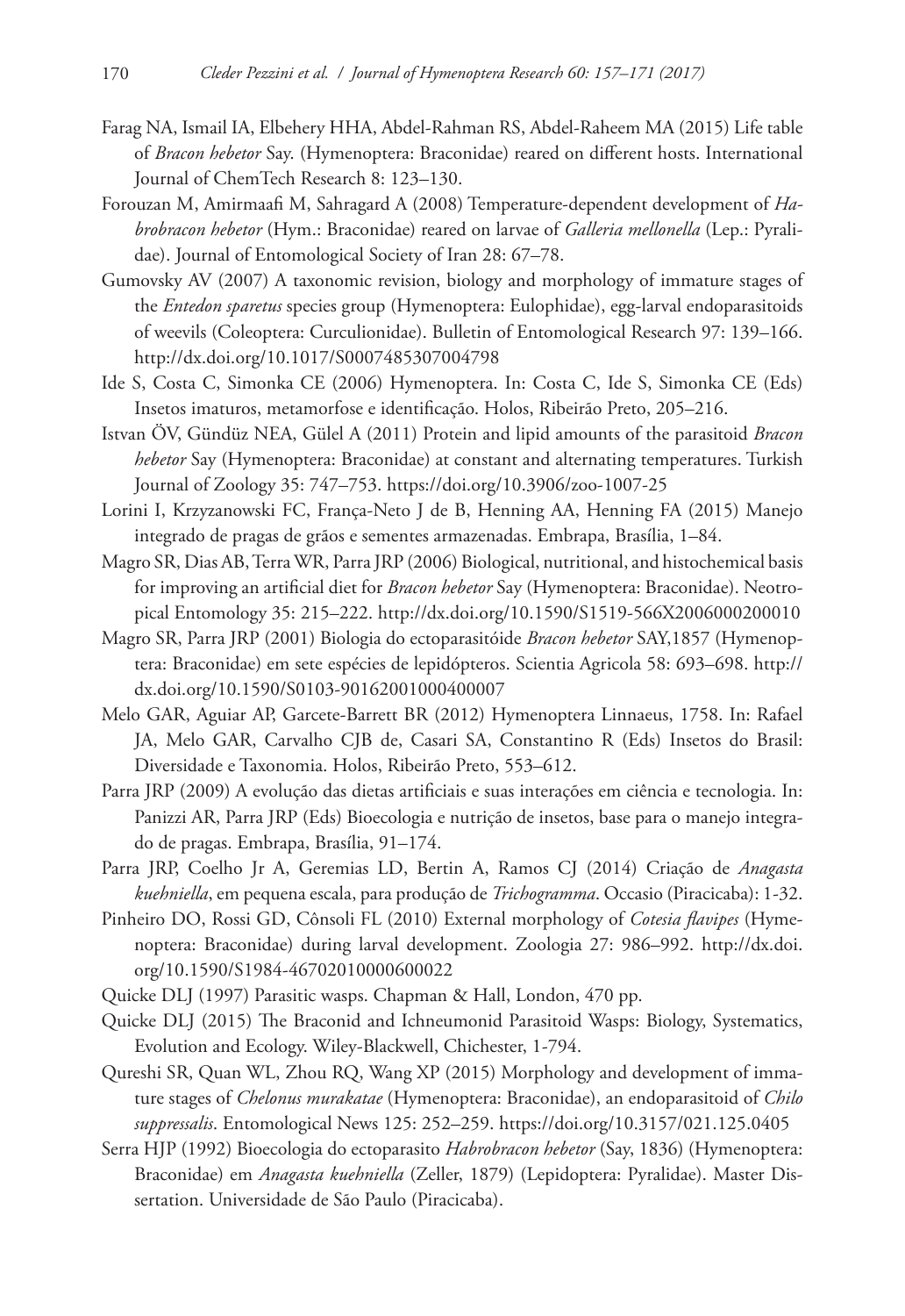- Farag NA, Ismail IA, Elbehery HHA, Abdel-Rahman RS, Abdel-Raheem MA (2015) Life table of *Bracon hebetor* Say. (Hymenoptera: Braconidae) reared on different hosts. International Journal of ChemTech Research 8: 123–130.
- Forouzan M, Amirmaafi M, Sahragard A (2008) Temperature-dependent development of *Habrobracon hebetor* (Hym.: Braconidae) reared on larvae of *Galleria mellonella* (Lep.: Pyralidae). Journal of Entomological Society of Iran 28: 67–78.
- Gumovsky AV (2007) A taxonomic revision, biology and morphology of immature stages of the *Entedon sparetus* species group (Hymenoptera: Eulophidae), egg-larval endoparasitoids of weevils (Coleoptera: Curculionidae). Bulletin of Entomological Research 97: 139–166. <http://dx.doi.org/10.1017/S0007485307004798>
- Ide S, Costa C, Simonka CE (2006) Hymenoptera. In: Costa C, Ide S, Simonka CE (Eds) Insetos imaturos, metamorfose e identificação. Holos, Ribeirão Preto, 205–216.
- Istvan ÖV, Gündüz NEA, Gülel A (2011) Protein and lipid amounts of the parasitoid *Bracon hebetor* Say (Hymenoptera: Braconidae) at constant and alternating temperatures. Turkish Journal of Zoology 35: 747–753.<https://doi.org/10.3906/zoo-1007-25>
- Lorini I, Krzyzanowski FC, França-Neto J de B, Henning AA, Henning FA (2015) Manejo integrado de pragas de grãos e sementes armazenadas. Embrapa, Brasília, 1–84.
- Magro SR, Dias AB, Terra WR, Parra JRP (2006) Biological, nutritional, and histochemical basis for improving an artificial diet for *Bracon hebetor* Say (Hymenoptera: Braconidae). Neotropical Entomology 35: 215–222.<http://dx.doi.org/10.1590/S1519-566X2006000200010>
- Magro SR, Parra JRP (2001) Biologia do ectoparasitóide *Bracon hebetor* SAY,1857 (Hymenoptera: Braconidae) em sete espécies de lepidópteros. Scientia Agricola 58: 693–698. [http://](http://dx.doi.org/10.1590/S0103-90162001000400007) [dx.doi.org/10.1590/S0103-90162001000400007](http://dx.doi.org/10.1590/S0103-90162001000400007)
- Melo GAR, Aguiar AP, Garcete-Barrett BR (2012) Hymenoptera Linnaeus, 1758. In: Rafael JA, Melo GAR, Carvalho CJB de, Casari SA, Constantino R (Eds) Insetos do Brasil: Diversidade e Taxonomia. Holos, Ribeirão Preto, 553–612.
- Parra JRP (2009) A evolução das dietas artificiais e suas interações em ciência e tecnologia. In: Panizzi AR, Parra JRP (Eds) Bioecologia e nutrição de insetos, base para o manejo integrado de pragas. Embrapa, Brasília, 91–174.
- Parra JRP, Coelho Jr A, Geremias LD, Bertin A, Ramos CJ (2014) Criação de *Anagasta kuehniella*, em pequena escala, para produção de *Trichogramma*. Occasio (Piracicaba): 1-32.
- Pinheiro DO, Rossi GD, Cônsoli FL (2010) External morphology of *Cotesia flavipes* (Hymenoptera: Braconidae) during larval development. Zoologia 27: 986–992. [http://dx.doi.](http://dx.doi.org/10.1590/S1984-46702010000600022) [org/10.1590/S1984-46702010000600022](http://dx.doi.org/10.1590/S1984-46702010000600022)
- Quicke DLJ (1997) Parasitic wasps. Chapman & Hall, London, 470 pp.
- Quicke DLJ (2015) The Braconid and Ichneumonid Parasitoid Wasps: Biology, Systematics, Evolution and Ecology. Wiley-Blackwell, Chichester, 1-794.
- Qureshi SR, Quan WL, Zhou RQ, Wang XP (2015) Morphology and development of immature stages of *Chelonus murakatae* (Hymenoptera: Braconidae), an endoparasitoid of *Chilo suppressalis*. Entomological News 125: 252–259.<https://doi.org/10.3157/021.125.0405>
- Serra HJP (1992) Bioecologia do ectoparasito *Habrobracon hebetor* (Say, 1836) (Hymenoptera: Braconidae) em *Anagasta kuehniella* (Zeller, 1879) (Lepidoptera: Pyralidae). Master Dissertation. Universidade de São Paulo (Piracicaba).